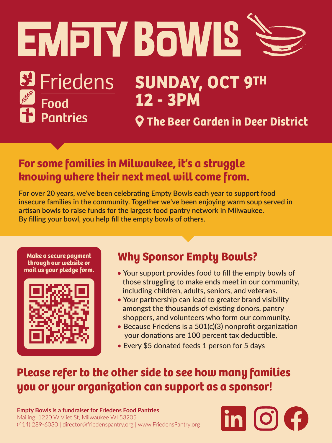# EMPIY BOWIS

# Et Friedens Food<br>The Pantries

**Make a secure payment through our website or mail us your pledge form.**



## **Why Sponsor Empty Bowls?**

- Your support provides food to fill the empty bowls of those struggling to make ends meet in our community, including children, adults, seniors, and veterans.
- Your partnership can lead to greater brand visibility amongst the thousands of existing donors, pantry shoppers, and volunteers who form our community.
- Because Friedens is a 501(c)(3) nonprofit organization your donations are 100 percent tax deductible.
- Every \$5 donated feeds 1 person for 5 days

### **Please refer to the other side to see how many families you or your organization can support as a sponsor!**

# **SUNDAY, OCT 9TH 12 - 3PM**

**The Beer Garden in Deer District**

#### **Empty Bowls is a fundraiser for Friedens Food Pantries**

Mailing: 1220 W Vliet St, Milwaukee WI 53205 (414) 289-6030 | director@friedenspantry.org | www.FriedensPantry.org



**For over 20 years, we've been celebrating Empty Bowls each year to support food insecure families in the community. Together we've been enjoying warm soup served in artisan bowls to raise funds for the largest food pantry network in Milwaukee. By filling your bowl, you help fill the empty bowls of others.** 

### **For some families in Milwaukee, it's a struggle knowing where their next meal will come from.**